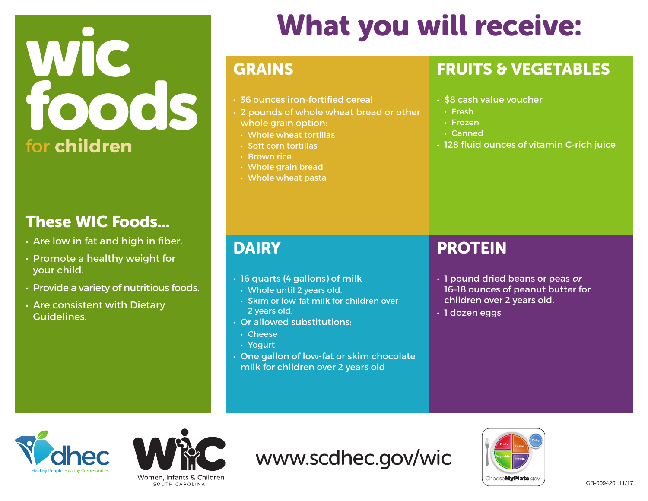# WIC foods for **children**

### These WIC Foods...

- Are low in fat and high in fiber.
- Promote a healthy weight for your child.
- Provide a variety of nutritious foods.
- Are consistent with Dietary Guidelines.

## What you will receive:

#### GRAINS

- 36 ounces iron-fortified cereal
- 2 pounds of whole wheat bread or other
- whole grain option:
- Whole wheat tortillas
- Soft corn tortillas
- Brown rice
- Whole grain bread
- Whole wheat pasta

### FRUITS & VEGETABLES

- \$8 cash value voucher
- Fresh
- Frozen
- Canned
- 128 fluid ounces of vitamin C-rich juice

### **DAIRY**

- 16 quarts (4 gallons) of milk
- Whole until 2 years old.
- Skim or low-fat milk for children over 2 years old.
- Or allowed substitutions:
	- Cheese
	- Yogurt
- One gallon of low-fat or skim chocolate milk for children over 2 years old

#### PROTEIN

- 1 pound dried beans or peas or 16–18 ounces of peanut butter for children over 2 years old.
- 1 dozen eggs





www.scdhec.gov/wic